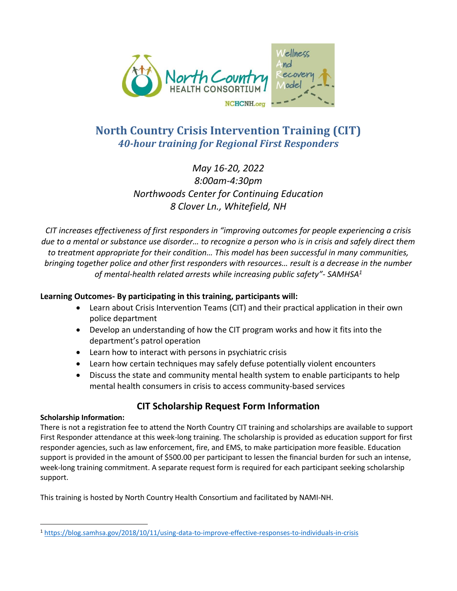

# **North Country Crisis Intervention Training (CIT)** *40-hour training for Regional First Responders*

## *May 16-20, 2022 8:00am-4:30pm Northwoods Center for Continuing Education 8 Clover Ln., Whitefield, NH*

*CIT increases effectiveness of first responders in "improving outcomes for people experiencing a crisis due to a mental or substance use disorder… to recognize a person who is in crisis and safely direct them to treatment appropriate for their condition… This model has been successful in many communities, bringing together police and other first responders with resources… result is a decrease in the number of mental-health related arrests while increasing public safety"- SAMHSA<sup>1</sup>*

### **Learning Outcomes- By participating in this training, participants will:**

- Learn about Crisis Intervention Teams (CIT) and their practical application in their own police department
- Develop an understanding of how the CIT program works and how it fits into the department's patrol operation
- Learn how to interact with persons in psychiatric crisis
- Learn how certain techniques may safely defuse potentially violent encounters
- Discuss the state and community mental health system to enable participants to help mental health consumers in crisis to access community-based services

## **CIT Scholarship Request Form Information**

#### **Scholarship Information:**

There is not a registration fee to attend the North Country CIT training and scholarships are available to support First Responder attendance at this week-long training. The scholarship is provided as education support for first responder agencies, such as law enforcement, fire, and EMS, to make participation more feasible. Education support is provided in the amount of \$500.00 per participant to lessen the financial burden for such an intense, week-long training commitment. A separate request form is required for each participant seeking scholarship support.

This training is hosted by North Country Health Consortium and facilitated by NAMI-NH.

<sup>1</sup> <https://blog.samhsa.gov/2018/10/11/using-data-to-improve-effective-responses-to-individuals-in-crisis>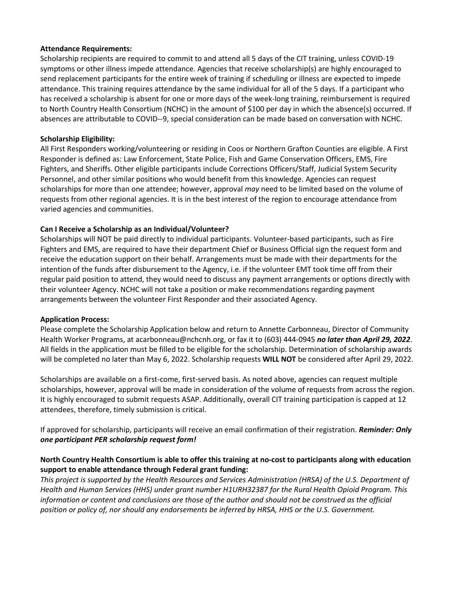#### **Attendance Requirements:**

Scholarship recipients are required to commit to and attend all 5 days of the CIT training, unless COVID-19 symptoms or other illness impede attendance. Agencies that receive scholarship(s) are highly encouraged to send replacement participants for the entire week of training if scheduling or illness are expected to impede attendance. This training requires attendance by the same individual for all of the 5 days. If a participant who has received a scholarship is absent for one or more days of the week-long training, reimbursement is required to North Country Health Consortium (NCHC) in the amount of \$100 per day in which the absence(s) occurred. If absences are attributable to COVID--9, special consideration can be made based on conversation with NCHC.

#### **Scholarship Eligibility:**

All First Responders working/volunteering or residing in Coos or Northern Grafton Counties are eligible. A First Responder is defined as: Law Enforcement, State Police, Fish and Game Conservation Officers, EMS, Fire Fighters, and Sheriffs. Other eligible participants include Corrections Officers/Staff, Judicial System Security Personnel, and other similar positions who would benefit from this knowledge. Agencies can request scholarships for more than one attendee; however, approval *may* need to be limited based on the volume of requests from other regional agencies. It is in the best interest of the region to encourage attendance from varied agencies and communities.

#### **Can I Receive a Scholarship as an Individual/Volunteer?**

Scholarships will NOT be paid directly to individual participants. Volunteer-based participants, such as Fire Fighters and EMS, are required to have their department Chief or Business Official sign the request form and receive the education support on their behalf. Arrangements must be made with their departments for the intention of the funds after disbursement to the Agency, i.e. if the volunteer EMT took time off from their regular paid position to attend, they would need to discuss any payment arrangements or options directly with their volunteer Agency. NCHC will not take a position or make recommendations regarding payment arrangements between the volunteer First Responder and their associated Agency.

#### **Application Process:**

Please complete the Scholarship Application below and return to Annette Carbonneau, Director of Community Health Worker Programs, at acarbonneau@nchcnh.org, or fax it to (603) 444-0945 *no later than April 29, 2022*. All fields in the application must be filled to be eligible for the scholarship. Determination of scholarship awards will be completed no later than May 6, 2022. Scholarship requests **WILL NOT** be considered after April 29, 2022.

Scholarships are available on a first-come, first-served basis. As noted above, agencies can request multiple scholarships, however, approval will be made in consideration of the volume of requests from across the region. It is highly encouraged to submit requests ASAP. Additionally, overall CIT training participation is capped at 12 attendees, therefore, timely submission is critical.

If approved for scholarship, participants will receive an email confirmation of their registration. *Reminder: Only one participant PER scholarship request form!*

#### **North Country Health Consortium is able to offer this training at no-cost to participants along with education support to enable attendance through Federal grant funding:**

*This project is supported by the Health Resources and Services Administration (HRSA) of the U.S. Department of Health and Human Services (HHS) under grant number H1URH32387 for the Rural Health Opioid Program. This information or content and conclusions are those of the author and should not be construed as the official position or policy of, nor should any endorsements be inferred by HRSA, HHS or the U.S. Government.*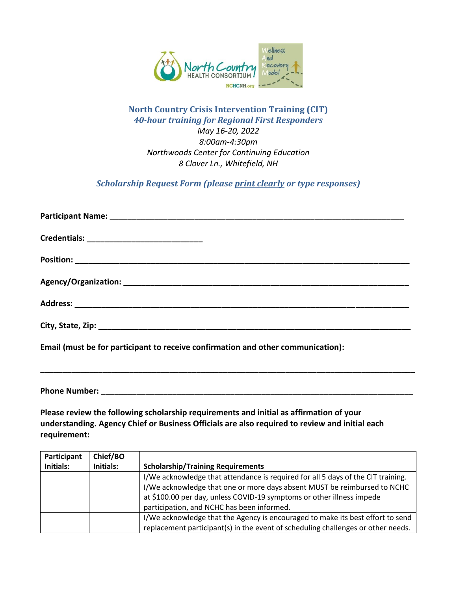

### **North Country Crisis Intervention Training (CIT)** *40-hour training for Regional First Responders May 16-20, 2022 8:00am-4:30pm Northwoods Center for Continuing Education 8 Clover Ln., Whitefield, NH*

*Scholarship Request Form (please print clearly or type responses)*

**\_\_\_\_\_\_\_\_\_\_\_\_\_\_\_\_\_\_\_\_\_\_\_\_\_\_\_\_\_\_\_\_\_\_\_\_\_\_\_\_\_\_\_\_\_\_\_\_\_\_\_\_\_\_\_\_\_\_\_\_\_\_\_\_\_\_\_\_\_\_\_\_\_\_\_\_\_\_\_\_\_\_\_\_**

**Email (must be for participant to receive confirmation and other communication):** 

**Phone Number:**  $\blacksquare$ 

**Please review the following scholarship requirements and initial as affirmation of your understanding. Agency Chief or Business Officials are also required to review and initial each requirement:**

| Participant      | Chief/BO  |                                                                                  |
|------------------|-----------|----------------------------------------------------------------------------------|
| <b>Initials:</b> | Initials: | <b>Scholarship/Training Requirements</b>                                         |
|                  |           | I/We acknowledge that attendance is required for all 5 days of the CIT training. |
|                  |           | I/We acknowledge that one or more days absent MUST be reimbursed to NCHC         |
|                  |           | at \$100.00 per day, unless COVID-19 symptoms or other illness impede            |
|                  |           | participation, and NCHC has been informed.                                       |
|                  |           | I/We acknowledge that the Agency is encouraged to make its best effort to send   |
|                  |           | replacement participant(s) in the event of scheduling challenges or other needs. |